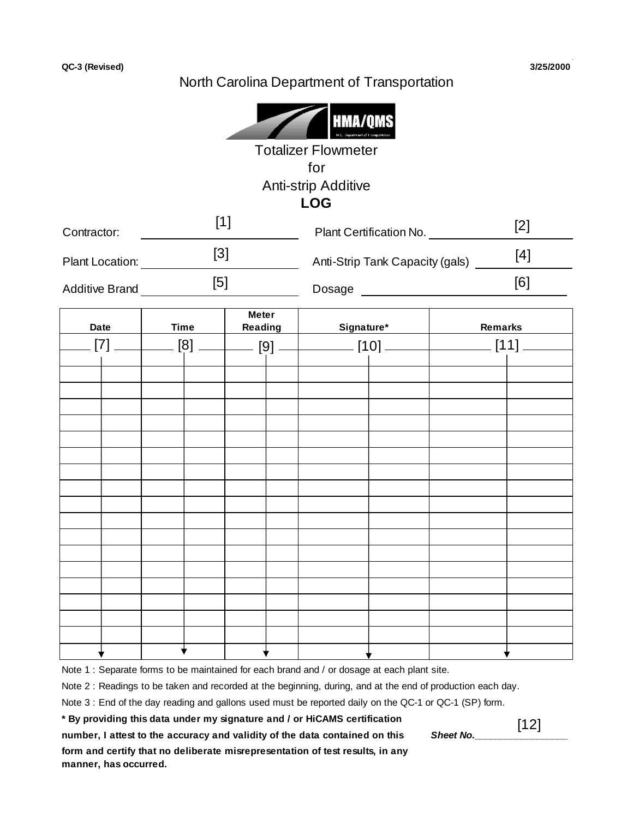## North Carolina Department of Transportation

|                                                    |                              |                                         |                                 | HMA/Q<br><b>Totalizer Flowmeter</b><br>for<br>Anti-strip Additive |                         |       |         |  |
|----------------------------------------------------|------------------------------|-----------------------------------------|---------------------------------|-------------------------------------------------------------------|-------------------------|-------|---------|--|
|                                                    |                              | $[1]$                                   |                                 | <b>LOG</b>                                                        |                         |       |         |  |
| Contractor:                                        |                              |                                         |                                 |                                                                   | Plant Certification No. |       | $[2]$   |  |
| $[3]$<br>Plant Location:<br><u>Plant</u> Location: |                              |                                         | Anti-Strip Tank Capacity (gals) |                                                                   |                         | $[4]$ |         |  |
|                                                    | [5]<br><b>Additive Brand</b> |                                         |                                 |                                                                   |                         |       | [6]     |  |
| <b>Date</b>                                        | <b>Time</b>                  | <b>Meter</b><br>Reading<br>$\mathbf{I}$ |                                 | Signature*<br>Signature*                                          |                         |       | Remarks |  |
| [7]                                                |                              |                                         |                                 |                                                                   |                         |       |         |  |
|                                                    |                              |                                         |                                 |                                                                   |                         |       |         |  |
|                                                    |                              |                                         |                                 |                                                                   |                         |       |         |  |
|                                                    |                              |                                         |                                 |                                                                   |                         |       |         |  |
|                                                    |                              |                                         |                                 |                                                                   |                         |       |         |  |
|                                                    |                              |                                         |                                 |                                                                   |                         |       |         |  |
|                                                    |                              |                                         |                                 |                                                                   |                         |       |         |  |
|                                                    |                              |                                         |                                 |                                                                   |                         |       |         |  |
|                                                    |                              |                                         |                                 |                                                                   |                         |       |         |  |
|                                                    |                              |                                         |                                 |                                                                   |                         |       |         |  |
|                                                    |                              |                                         |                                 |                                                                   |                         |       |         |  |
|                                                    |                              |                                         |                                 |                                                                   |                         |       |         |  |
|                                                    |                              |                                         |                                 |                                                                   |                         |       |         |  |
|                                                    |                              |                                         |                                 |                                                                   |                         |       |         |  |
|                                                    |                              |                                         |                                 |                                                                   |                         |       |         |  |
|                                                    |                              |                                         |                                 |                                                                   |                         |       |         |  |
|                                                    |                              |                                         |                                 |                                                                   |                         |       |         |  |

Note 1 : Separate forms to be maintained for each brand and / or dosage at each plant site.

Note 2 : Readings to be taken and recorded at the beginning, during, and at the end of production each day.

Note 3 : End of the day reading and gallons used must be reported daily on the QC-1 or QC-1 (SP) form.

**\* By providing this data under my signature and / or HiCAMS certification**

number, I attest to the accuracy and validity of the data contained on this **Sheet No. form and certify that no deliberate misrepresentation of test results, in any manner, has occurred.**

[12]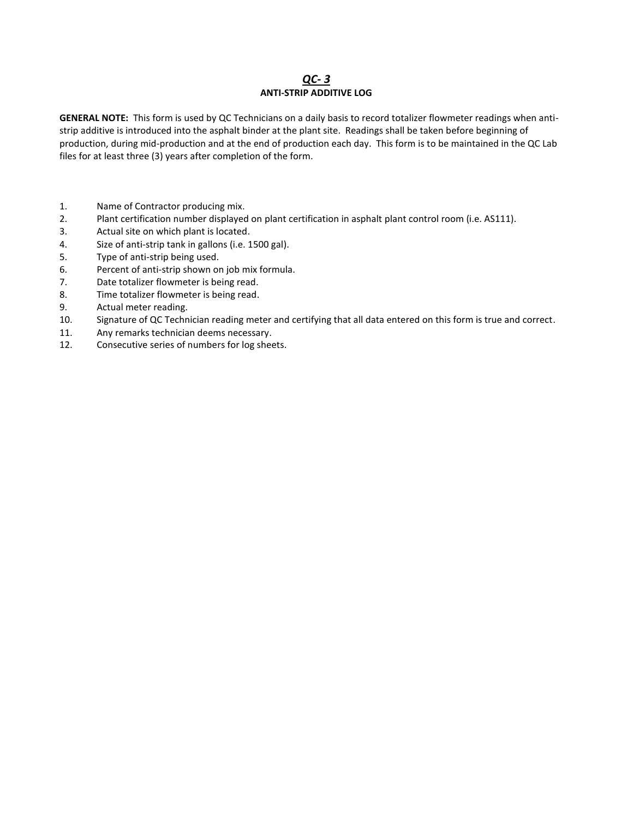## *QC- 3* **ANTI-STRIP ADDITIVE LOG**

**GENERAL NOTE:** This form is used by QC Technicians on a daily basis to record totalizer flowmeter readings when antistrip additive is introduced into the asphalt binder at the plant site. Readings shall be taken before beginning of production, during mid-production and at the end of production each day. This form is to be maintained in the QC Lab files for at least three (3) years after completion of the form.

- 1. Name of Contractor producing mix.
- 2. Plant certification number displayed on plant certification in asphalt plant control room (i.e. AS111).
- 3. Actual site on which plant is located.
- 4. Size of anti-strip tank in gallons (i.e. 1500 gal).
- 5. Type of anti-strip being used.
- 6. Percent of anti-strip shown on job mix formula.
- 7. Date totalizer flowmeter is being read.
- 8. Time totalizer flowmeter is being read.
- 9. Actual meter reading.
- 10. Signature of QC Technician reading meter and certifying that all data entered on this form is true and correct.
- 11. Any remarks technician deems necessary.
- 12. Consecutive series of numbers for log sheets.